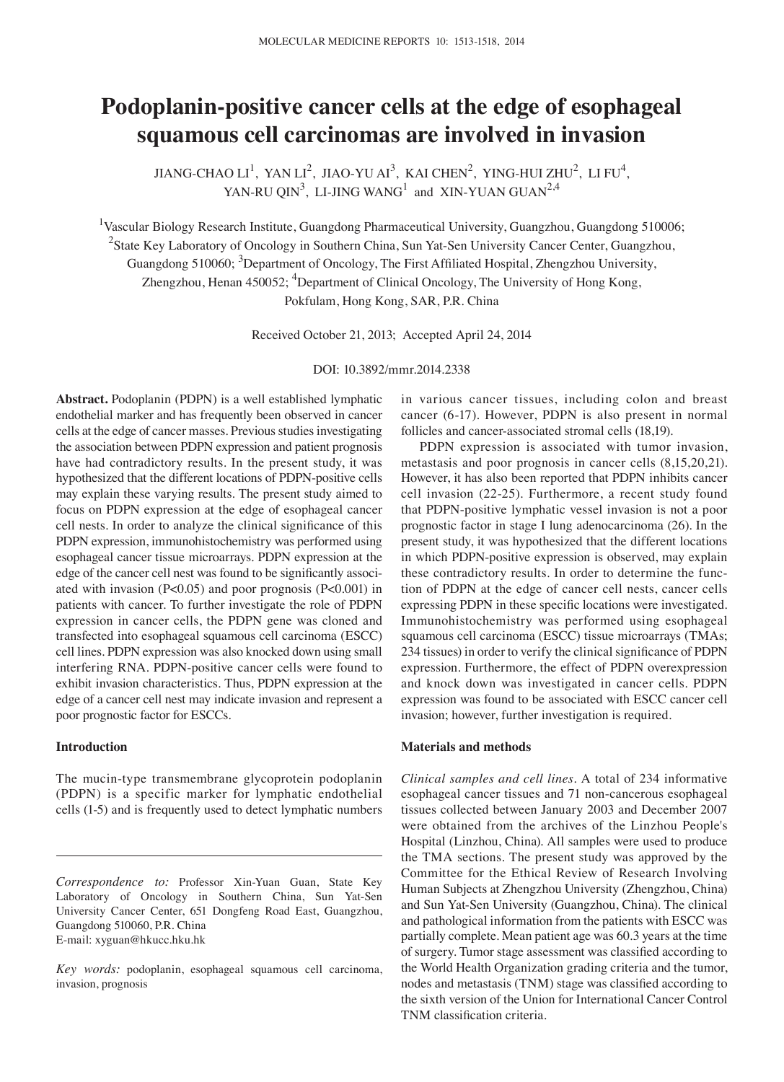# **Podoplanin‑positive cancer cells at the edge of esophageal squamous cell carcinomas are involved in invasion**

 $JIANG-CHAO LI<sup>1</sup>, YAN LI<sup>2</sup>, JIAO-YU AI<sup>3</sup>, KAI CHEN<sup>2</sup>, YING-HUI ZHU<sup>2</sup>, LI FU<sup>4</sup>,$ YAN-RU QIN<sup>3</sup>, LI-JING WANG<sup>1</sup> and XIN-YUAN GUAN<sup>2,4</sup>

<sup>1</sup>Vascular Biology Research Institute, Guangdong Pharmaceutical University, Guangzhou, Guangdong 510006; <sup>2</sup>State Key Laboratory of Oncology in Southern China, Sun Yat-Sen University Cancer Center, Guangzhou, Guangdong 510060; <sup>3</sup>Department of Oncology, The First Affiliated Hospital, Zhengzhou University, Zhengzhou, Henan 450052; <sup>4</sup>Department of Clinical Oncology, The University of Hong Kong, Pokfulam, Hong Kong, SAR, P.R. China

Received October 21, 2013; Accepted April 24, 2014

DOI: 10.3892/mmr.2014.2338

**Abstract.** Podoplanin (PDPN) is a well established lymphatic endothelial marker and has frequently been observed in cancer cells at the edge of cancer masses. Previous studies investigating the association between PDPN expression and patient prognosis have had contradictory results. In the present study, it was hypothesized that the different locations of PDPN-positive cells may explain these varying results. The present study aimed to focus on PDPN expression at the edge of esophageal cancer cell nests. In order to analyze the clinical significance of this PDPN expression, immunohistochemistry was performed using esophageal cancer tissue microarrays. PDPN expression at the edge of the cancer cell nest was found to be significantly associated with invasion (P<0.05) and poor prognosis (P<0.001) in patients with cancer. To further investigate the role of PDPN expression in cancer cells, the PDPN gene was cloned and transfected into esophageal squamous cell carcinoma (ESCC) cell lines. PDPN expression was also knocked down using small interfering RNA. PDPN-positive cancer cells were found to exhibit invasion characteristics. Thus, PDPN expression at the edge of a cancer cell nest may indicate invasion and represent a poor prognostic factor for ESCCs.

## **Introduction**

The mucin-type transmembrane glycoprotein podoplanin (PDPN) is a specific marker for lymphatic endothelial cells (1-5) and is frequently used to detect lymphatic numbers in various cancer tissues, including colon and breast cancer (6-17). However, PDPN is also present in normal follicles and cancer-associated stromal cells (18,19).

PDPN expression is associated with tumor invasion, metastasis and poor prognosis in cancer cells (8,15,20,21). However, it has also been reported that PDPN inhibits cancer cell invasion (22-25). Furthermore, a recent study found that PDPN-positive lymphatic vessel invasion is not a poor prognostic factor in stage I lung adenocarcinoma (26). In the present study, it was hypothesized that the different locations in which PDPN-positive expression is observed, may explain these contradictory results. In order to determine the function of PDPN at the edge of cancer cell nests, cancer cells expressing PDPN in these specific locations were investigated. Immunohistochemistry was performed using esophageal squamous cell carcinoma (ESCC) tissue microarrays (TMAs; 234 tissues) in order to verify the clinical significance of PDPN expression. Furthermore, the effect of PDPN overexpression and knock down was investigated in cancer cells. PDPN expression was found to be associated with ESCC cancer cell invasion; however, further investigation is required.

#### **Materials and methods**

*Clinical samples and cell lines.* A total of 234 informative esophageal cancer tissues and 71 non-cancerous esophageal tissues collected between January 2003 and December 2007 were obtained from the archives of the Linzhou People's Hospital (Linzhou, China). All samples were used to produce the TMA sections. The present study was approved by the Committee for the Ethical Review of Research Involving Human Subjects at Zhengzhou University (Zhengzhou, China) and Sun Yat-Sen University (Guangzhou, China). The clinical and pathological information from the patients with ESCC was partially complete. Mean patient age was 60.3 years at the time of surgery. Tumor stage assessment was classified according to the World Health Organization grading criteria and the tumor, nodes and metastasis (TNM) stage was classified according to the sixth version of the Union for International Cancer Control TNM classification criteria.

*Correspondence to:* Professor Xin-Yuan Guan, State Key Laboratory of Oncology in Southern China, Sun Yat-Sen University Cancer Center, 651 Dongfeng Road East, Guangzhou, Guangdong 510060, P.R. China E-mail: xyguan@hkucc.hku.hk

*Key words:* podoplanin, esophageal squamous cell carcinoma, invasion, prognosis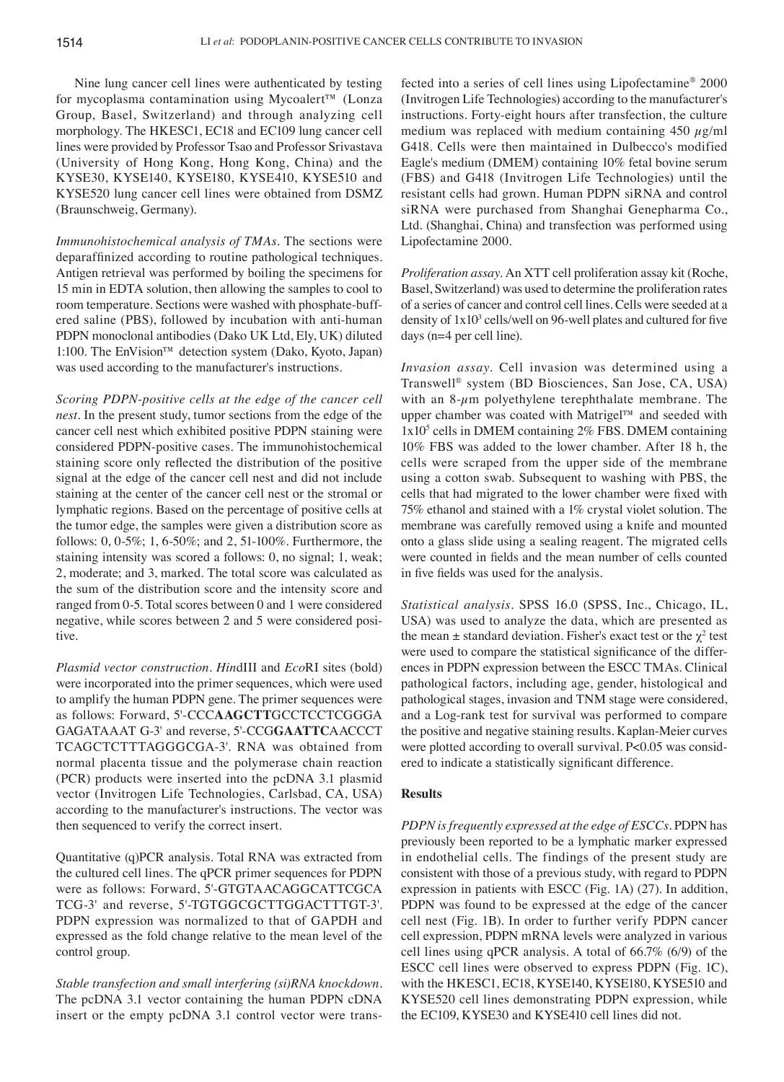Nine lung cancer cell lines were authenticated by testing for mycoplasma contamination using Mycoalert™ (Lonza Group, Basel, Switzerland) and through analyzing cell morphology. The HKESC1, EC18 and EC109 lung cancer cell lines were provided by Professor Tsao and Professor Srivastava (University of Hong Kong, Hong Kong, China) and the KYSE30, KYSE140, KYSE180, KYSE410, KYSE510 and KYSE520 lung cancer cell lines were obtained from DSMZ (Braunschweig, Germany).

*Immunohistochemical analysis of TMAs.* The sections were deparaffinized according to routine pathological techniques. Antigen retrieval was performed by boiling the specimens for 15 min in EDTA solution, then allowing the samples to cool to room temperature. Sections were washed with phosphate-buffered saline (PBS), followed by incubation with anti-human PDPN monoclonal antibodies (Dako UK Ltd, Ely, UK) diluted 1:100. The EnVision™ detection system (Dako, Kyoto, Japan) was used according to the manufacturer's instructions.

*Scoring PDPN‑positive cells at the edge of the cancer cell nest.* In the present study, tumor sections from the edge of the cancer cell nest which exhibited positive PDPN staining were considered PDPN-positive cases. The immunohistochemical staining score only reflected the distribution of the positive signal at the edge of the cancer cell nest and did not include staining at the center of the cancer cell nest or the stromal or lymphatic regions. Based on the percentage of positive cells at the tumor edge, the samples were given a distribution score as follows: 0, 0-5%; 1, 6-50%; and 2, 51-100%. Furthermore, the staining intensity was scored a follows: 0, no signal; 1, weak; 2, moderate; and 3, marked. The total score was calculated as the sum of the distribution score and the intensity score and ranged from 0-5. Total scores between 0 and 1 were considered negative, while scores between 2 and 5 were considered positive.

*Plasmid vector construction. Hin*dIII and *Eco*RI sites (bold) were incorporated into the primer sequences, which were used to amplify the human PDPN gene. The primer sequences were as follows: Forward, 5'-CCC**AAGCTT**GCCTCCTCGGGA GAGATAAAT G-3' and reverse, 5'-CCG**GAATTC**AACCCT TCAGCTCTTTAGGGCGA-3'. RNA was obtained from normal placenta tissue and the polymerase chain reaction (PCR) products were inserted into the pcDNA 3.1 plasmid vector (Invitrogen Life Technologies, Carlsbad, CA, USA) according to the manufacturer's instructions. The vector was then sequenced to verify the correct insert.

Quantitative (q)PCR analysis. Total RNA was extracted from the cultured cell lines. The qPCR primer sequences for PDPN were as follows: Forward, 5'-GTGTAACAGGCATTCGCA TCG-3' and reverse, 5'-TGTGGCGCTTGGACTTTGT-3'. PDPN expression was normalized to that of GAPDH and expressed as the fold change relative to the mean level of the control group.

*Stable transfection and small interfering (si)RNA knockdown.*  The pcDNA 3.1 vector containing the human PDPN cDNA insert or the empty pcDNA 3.1 control vector were transfected into a series of cell lines using Lipofectamine® 2000 (Invitrogen Life Technologies) according to the manufacturer's instructions. Forty-eight hours after transfection, the culture medium was replaced with medium containing  $450 \mu g/ml$ G418. Cells were then maintained in Dulbecco's modified Eagle's medium (DMEM) containing 10% fetal bovine serum (FBS) and G418 (Invitrogen Life Technologies) until the resistant cells had grown. Human PDPN siRNA and control siRNA were purchased from Shanghai Genepharma Co., Ltd. (Shanghai, China) and transfection was performed using Lipofectamine 2000.

*Proliferation assay.* An XTT cell proliferation assay kit (Roche, Basel, Switzerland) was used to determine the proliferation rates of a series of cancer and control cell lines. Cells were seeded at a density of  $1x10<sup>3</sup>$  cells/well on 96-well plates and cultured for five days (n=4 per cell line).

*Invasion assay.* Cell invasion was determined using a Transwell® system (BD Biosciences, San Jose, CA, USA) with an  $8-\mu$ m polyethylene terephthalate membrane. The upper chamber was coated with Matrigel™ and seeded with  $1x10<sup>5</sup>$  cells in DMEM containing  $2\%$  FBS. DMEM containing 10% FBS was added to the lower chamber. After 18 h, the cells were scraped from the upper side of the membrane using a cotton swab. Subsequent to washing with PBS, the cells that had migrated to the lower chamber were fixed with 75% ethanol and stained with a 1% crystal violet solution. The membrane was carefully removed using a knife and mounted onto a glass slide using a sealing reagent. The migrated cells were counted in fields and the mean number of cells counted in five fields was used for the analysis.

*Statistical analysis.* SPSS 16.0 (SPSS, Inc., Chicago, IL, USA) was used to analyze the data, which are presented as the mean  $\pm$  standard deviation. Fisher's exact test or the  $\chi^2$  test were used to compare the statistical significance of the differences in PDPN expression between the ESCC TMAs. Clinical pathological factors, including age, gender, histological and pathological stages, invasion and TNM stage were considered, and a Log-rank test for survival was performed to compare the positive and negative staining results. Kaplan-Meier curves were plotted according to overall survival. P<0.05 was considered to indicate a statistically significant difference.

## **Results**

*PDPN is frequently expressed at the edge of ESCCs.* PDPN has previously been reported to be a lymphatic marker expressed in endothelial cells. The findings of the present study are consistent with those of a previous study, with regard to PDPN expression in patients with ESCC (Fig. 1A) (27). In addition, PDPN was found to be expressed at the edge of the cancer cell nest (Fig. 1B). In order to further verify PDPN cancer cell expression, PDPN mRNA levels were analyzed in various cell lines using qPCR analysis. A total of 66.7% (6/9) of the ESCC cell lines were observed to express PDPN (Fig. 1C), with the HKESC1, EC18, KYSE140, KYSE180, KYSE510 and KYSE520 cell lines demonstrating PDPN expression, while the EC109, KYSE30 and KYSE410 cell lines did not.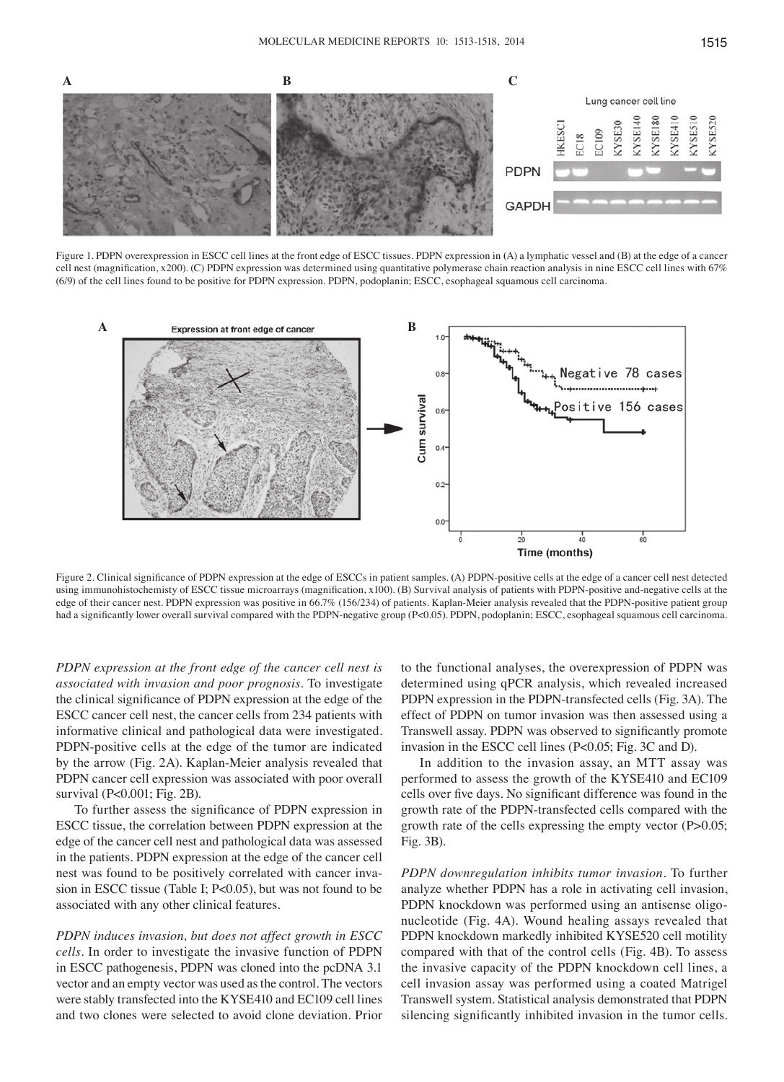

Figure 1. PDPN overexpression in ESCC cell lines at the front edge of ESCC tissues. PDPN expression in **(**A) a lymphatic vessel and (B) at the edge of a cancer cell nest (magnification, x200). (C) PDPN expression was determined using quantitative polymerase chain reaction analysis in nine ESCC cell lines with 67% (6/9) of the cell lines found to be positive for PDPN expression. PDPN, podoplanin; ESCC, esophageal squamous cell carcinoma.



Figure 2. Clinical significance of PDPN expression at the edge of ESCCs in patient samples. **(**A) PDPN-positive cells at the edge of a cancer cell nest detected using immunohistochemisty of ESCC tissue microarrays (magnification, x100). (B) Survival analysis of patients with PDPN‑positive and‑negative cells at the edge of their cancer nest. PDPN expression was positive in 66.7% (156/234) of patients. Kaplan-Meier analysis revealed that the PDPN-positive patient group had a significantly lower overall survival compared with the PDPN‑negative group (P<0.05). PDPN, podoplanin; ESCC, esophageal squamous cell carcinoma.

*PDPN expression at the front edge of the cancer cell nest is associated with invasion and poor prognosis.* To investigate the clinical significance of PDPN expression at the edge of the ESCC cancer cell nest, the cancer cells from 234 patients with informative clinical and pathological data were investigated. PDPN-positive cells at the edge of the tumor are indicated by the arrow (Fig. 2A). Kaplan-Meier analysis revealed that PDPN cancer cell expression was associated with poor overall survival (P<0.001; Fig. 2B).

To further assess the significance of PDPN expression in ESCC tissue, the correlation between PDPN expression at the edge of the cancer cell nest and pathological data was assessed in the patients. PDPN expression at the edge of the cancer cell nest was found to be positively correlated with cancer invasion in ESCC tissue (Table I; P<0.05), but was not found to be associated with any other clinical features.

*PDPN induces invasion, but does not affect growth in ESCC cells.* In order to investigate the invasive function of PDPN in ESCC pathogenesis, PDPN was cloned into the pcDNA 3.1 vector and an empty vector was used as the control. The vectors were stably transfected into the KYSE410 and EC109 cell lines and two clones were selected to avoid clone deviation. Prior

to the functional analyses, the overexpression of PDPN was determined using qPCR analysis, which revealed increased PDPN expression in the PDPN-transfected cells (Fig. 3A). The effect of PDPN on tumor invasion was then assessed using a Transwell assay. PDPN was observed to significantly promote invasion in the ESCC cell lines (P<0.05; Fig. 3C and D).

In addition to the invasion assay, an MTT assay was performed to assess the growth of the KYSE410 and EC109 cells over five days. No significant difference was found in the growth rate of the PDPN-transfected cells compared with the growth rate of the cells expressing the empty vector (P>0.05; Fig. 3B).

*PDPN downregulation inhibits tumor invasion.* To further analyze whether PDPN has a role in activating cell invasion, PDPN knockdown was performed using an antisense oligonucleotide (Fig. 4A). Wound healing assays revealed that PDPN knockdown markedly inhibited KYSE520 cell motility compared with that of the control cells (Fig. 4B). To assess the invasive capacity of the PDPN knockdown cell lines, a cell invasion assay was performed using a coated Matrigel Transwell system. Statistical analysis demonstrated that PDPN silencing significantly inhibited invasion in the tumor cells.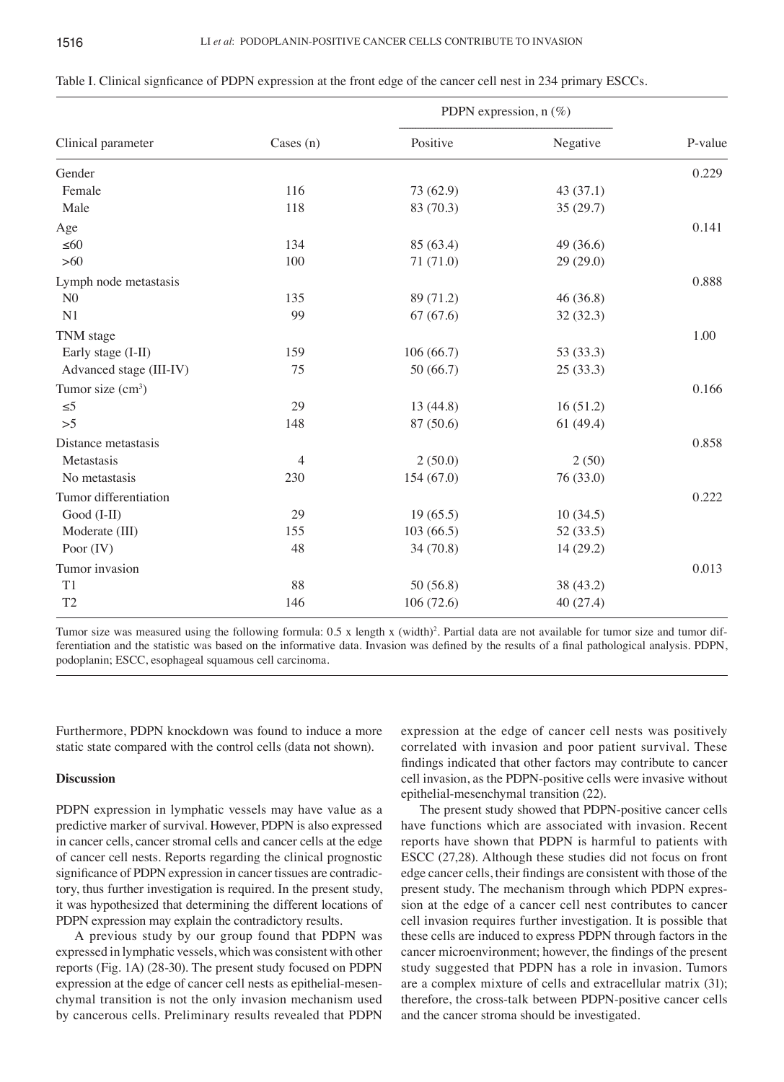| Cases $(n)$<br>Clinical parameter | Positive  | Negative  | P-value |
|-----------------------------------|-----------|-----------|---------|
| Gender                            |           |           | 0.229   |
| 116<br>Female                     | 73 (62.9) | 43(37.1)  |         |
| Male<br>118                       | 83 (70.3) | 35(29.7)  |         |
| Age                               |           |           | 0.141   |
| $\leq 60$<br>134                  | 85 (63.4) | 49 (36.6) |         |
| $>60$<br>100                      | 71(71.0)  | 29(29.0)  |         |
| Lymph node metastasis             |           |           | 0.888   |
| N <sub>0</sub><br>135             | 89 (71.2) | 46(36.8)  |         |
| N1<br>99                          | 67(67.6)  | 32(32.3)  |         |
| TNM stage                         |           |           | 1.00    |
| Early stage (I-II)<br>159         | 106(66.7) | 53 (33.3) |         |
| Advanced stage (III-IV)<br>75     | 50 (66.7) | 25(33.3)  |         |
| Tumor size $(cm3)$                |           |           | 0.166   |
| 29<br>$\leq 5$                    | 13(44.8)  | 16(51.2)  |         |
| >5<br>148                         | 87 (50.6) | 61(49.4)  |         |
| Distance metastasis               |           |           | 0.858   |
| Metastasis<br>4                   | 2(50.0)   | 2(50)     |         |
| 230<br>No metastasis              | 154(67.0) | 76 (33.0) |         |
| Tumor differentiation             |           |           | 0.222   |
| Good (I-II)<br>29                 | 19(65.5)  | 10(34.5)  |         |
| Moderate (III)<br>155             | 103(66.5) | 52(33.5)  |         |
| 48<br>Poor $(IV)$                 | 34(70.8)  | 14(29.2)  |         |
| Tumor invasion                    |           |           | 0.013   |
| 88<br>T <sub>1</sub>              | 50(56.8)  | 38 (43.2) |         |
| T <sub>2</sub><br>146             | 106(72.6) | 40 (27.4) |         |

| Table I. Clinical significance of PDPN expression at the front edge of the cancer cell nest in 234 primary ESCCs. |  |  |  |  |
|-------------------------------------------------------------------------------------------------------------------|--|--|--|--|
|-------------------------------------------------------------------------------------------------------------------|--|--|--|--|

Tumor size was measured using the following formula: 0.5 x length x (width)<sup>2</sup>. Partial data are not available for tumor size and tumor differentiation and the statistic was based on the informative data. Invasion was defined by the results of a final pathological analysis. PDPN, podoplanin; ESCC, esophageal squamous cell carcinoma.

Furthermore, PDPN knockdown was found to induce a more static state compared with the control cells (data not shown).

#### **Discussion**

PDPN expression in lymphatic vessels may have value as a predictive marker of survival. However, PDPN is also expressed in cancer cells, cancer stromal cells and cancer cells at the edge of cancer cell nests. Reports regarding the clinical prognostic significance of PDPN expression in cancer tissues are contradictory, thus further investigation is required. In the present study, it was hypothesized that determining the different locations of PDPN expression may explain the contradictory results.

A previous study by our group found that PDPN was expressed in lymphatic vessels, which was consistent with other reports (Fig. 1A) (28-30). The present study focused on PDPN expression at the edge of cancer cell nests as epithelial-mesenchymal transition is not the only invasion mechanism used by cancerous cells. Preliminary results revealed that PDPN expression at the edge of cancer cell nests was positively correlated with invasion and poor patient survival. These findings indicated that other factors may contribute to cancer cell invasion, as the PDPN-positive cells were invasive without epithelial-mesenchymal transition (22).

The present study showed that PDPN-positive cancer cells have functions which are associated with invasion. Recent reports have shown that PDPN is harmful to patients with ESCC (27,28). Although these studies did not focus on front edge cancer cells, their findings are consistent with those of the present study. The mechanism through which PDPN expression at the edge of a cancer cell nest contributes to cancer cell invasion requires further investigation. It is possible that these cells are induced to express PDPN through factors in the cancer microenvironment; however, the findings of the present study suggested that PDPN has a role in invasion. Tumors are a complex mixture of cells and extracellular matrix (31); therefore, the cross-talk between PDPN-positive cancer cells and the cancer stroma should be investigated.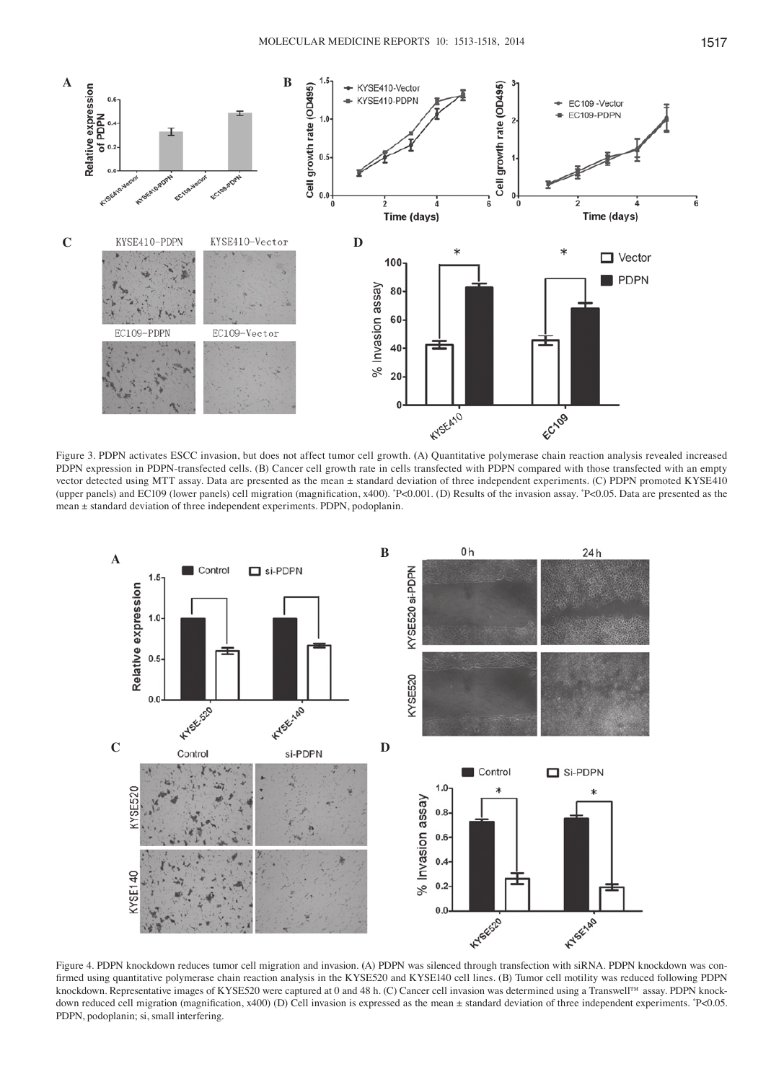

Figure 3. PDPN activates ESCC invasion, but does not affect tumor cell growth. **(**A) Quantitative polymerase chain reaction analysis revealed increased PDPN expression in PDPN-transfected cells. (B) Cancer cell growth rate in cells transfected with PDPN compared with those transfected with an empty vector detected using MTT assay. Data are presented as the mean ± standard deviation of three independent experiments. (C) PDPN promoted KYSE410 (upper panels) and EC109 (lower panels) cell migration (magnification, x400). \* P<0.001. (D) Results of the invasion assay. \* P<0.05. Data are presented as the mean ± standard deviation of three independent experiments. PDPN, podoplanin.



Figure 4. PDPN knockdown reduces tumor cell migration and invasion. **(**A) PDPN was silenced through transfection with siRNA. PDPN knockdown was confirmed using quantitative polymerase chain reaction analysis in the KYSE520 and KYSE140 cell lines. (B) Tumor cell motility was reduced following PDPN knockdown. Representative images of KYSE520 were captured at 0 and 48 h. (C) Cancer cell invasion was determined using a Transwell™ assay. PDPN knockdown reduced cell migration (magnification, x400) (D) Cell invasion is expressed as the mean ± standard deviation of three independent experiments.  $P$ <0.05. PDPN, podoplanin; si, small interfering.